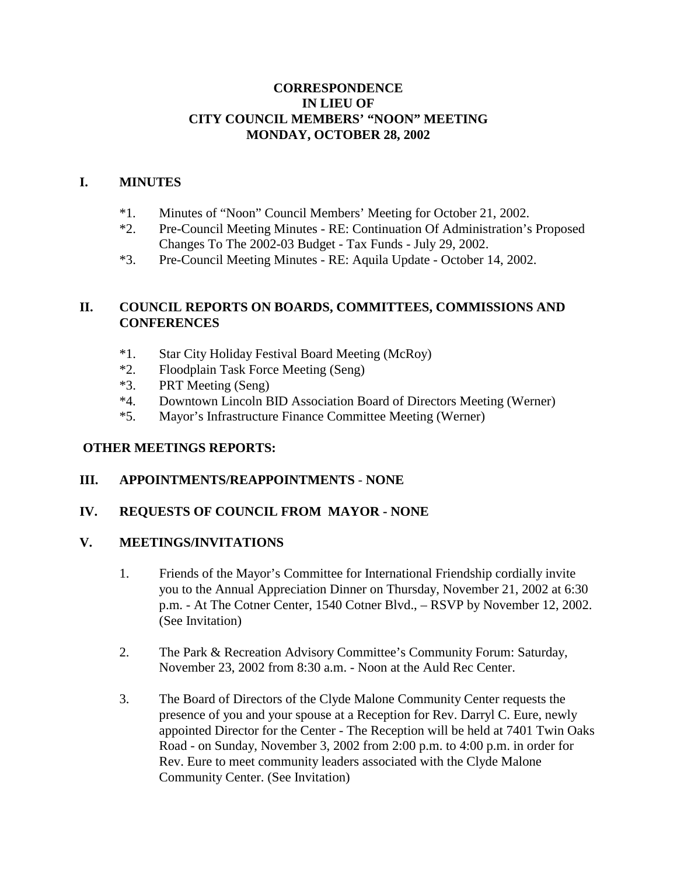## **CORRESPONDENCE IN LIEU OF CITY COUNCIL MEMBERS' "NOON" MEETING MONDAY, OCTOBER 28, 2002**

## **I. MINUTES**

- \*1. Minutes of "Noon" Council Members' Meeting for October 21, 2002.
- \*2. Pre-Council Meeting Minutes RE: Continuation Of Administration's Proposed Changes To The 2002-03 Budget - Tax Funds - July 29, 2002.
- \*3. Pre-Council Meeting Minutes RE: Aquila Update October 14, 2002.

# **II. COUNCIL REPORTS ON BOARDS, COMMITTEES, COMMISSIONS AND CONFERENCES**

- \*1. Star City Holiday Festival Board Meeting (McRoy)
- \*2. Floodplain Task Force Meeting (Seng)
- \*3. PRT Meeting (Seng)
- \*4. Downtown Lincoln BID Association Board of Directors Meeting (Werner)
- \*5. Mayor's Infrastructure Finance Committee Meeting (Werner)

## **OTHER MEETINGS REPORTS:**

## **III. APPOINTMENTS/REAPPOINTMENTS** - **NONE**

## **IV. REQUESTS OF COUNCIL FROM MAYOR - NONE**

### **V. MEETINGS/INVITATIONS**

- 1. Friends of the Mayor's Committee for International Friendship cordially invite you to the Annual Appreciation Dinner on Thursday, November 21, 2002 at 6:30 p.m. - At The Cotner Center, 1540 Cotner Blvd., – RSVP by November 12, 2002. (See Invitation)
- 2. The Park & Recreation Advisory Committee's Community Forum: Saturday, November 23, 2002 from 8:30 a.m. - Noon at the Auld Rec Center.
- 3. The Board of Directors of the Clyde Malone Community Center requests the presence of you and your spouse at a Reception for Rev. Darryl C. Eure, newly appointed Director for the Center - The Reception will be held at 7401 Twin Oaks Road - on Sunday, November 3, 2002 from 2:00 p.m. to 4:00 p.m. in order for Rev. Eure to meet community leaders associated with the Clyde Malone Community Center. (See Invitation)